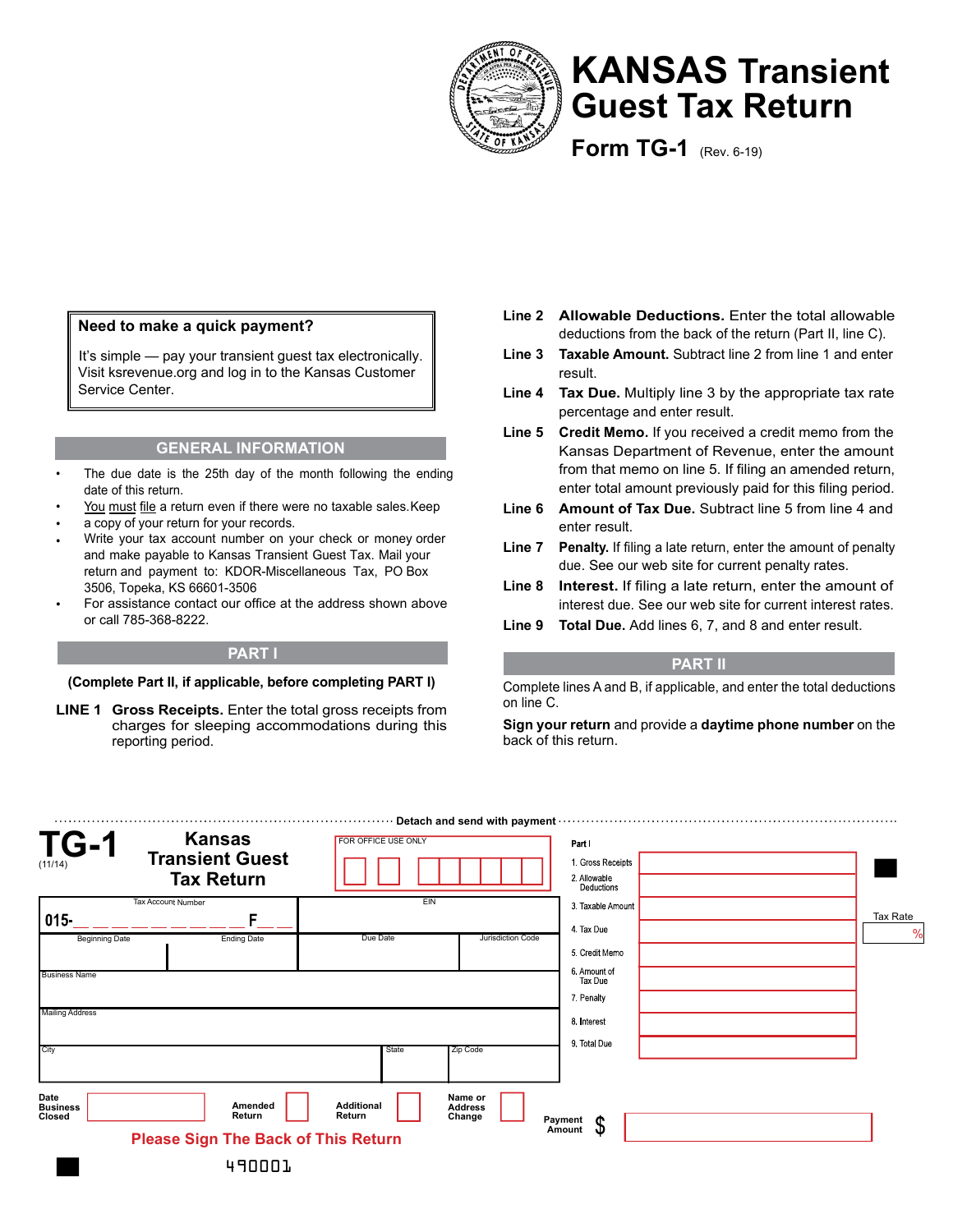

# **KANSAS Transient Guest Tax Return**

**Form TG-1** (Rev. 6-19)

### **Need to make a quick payment?**

It's simple — pay your transient guest tax electronically. Visit ksrevenue.org and log in to the Kansas Customer Service Center.

#### **GENERAL INFORMATION**

- The due date is the 25th day of the month following the ending date of this return.
- You must file a return even if there were no taxable sales. Keep
- a copy of your return for your records.
- Write your tax account number on your check or money order and make payable to Kansas Transient Guest Tax. Mail your return and payment to: KDOR-Miscellaneous Tax, PO Box 3506, Topeka, KS 66601-3506
- For assistance contact our office at the address shown above or call 785-368-8222.

#### **(Complete Part II, if applicable, before completing PART I)**

**LINE 1 Gross Receipts.** Enter the total gross receipts from charges for sleeping accommodations during this reporting period.

- **Line 2 Allowable Deductions.** Enter the total allowable deductions from the back of the return (Part II, line C).
- **Line 3 Taxable Amount.** Subtract line 2 from line 1 and enter result.
- **Line 4 Tax Due.** Multiply line 3 by the appropriate tax rate percentage and enter result.
- **Line 5 Credit Memo.** If you received a credit memo from the Kansas Department of Revenue, enter the amount from that memo on line 5. If filing an amended return, enter total amount previously paid for this filing period.
- **Line 6 Amount of Tax Due.** Subtract line 5 from line 4 and enter result.
- **Line 7** Penalty. If filing a late return, enter the amount of penalty due. See our web site for current penalty rates.
- **Line 8** Interest. If filing a late return, enter the amount of interest due. See our web site for current interest rates.
- **Line 9 Total Due.** Add lines 6, 7, and 8 and enter result.

## **PART I PART II**

Complete lines A and B, if applicable, and enter the total deductions on line C.

**Sign your return** and provide a **daytime phone number** on the back of this return.

| <b>TG-1</b><br>(11/14)     | <b>Kansas</b><br><b>Transient Guest</b><br><b>Tax Return</b> | FOR OFFICE USE ONLY         | Detach and send with payment        | Part I<br>1. Gross Receipts<br>2 Allowable<br>Deductions |          |
|----------------------------|--------------------------------------------------------------|-----------------------------|-------------------------------------|----------------------------------------------------------|----------|
| $015 -$                    | Tax Account Number<br>c                                      | EIN                         |                                     | 3. Taxable Amount<br>4 Tax Due                           | Tax Rate |
| <b>Beginning Date</b>      | <b>Ending Date</b>                                           | Due Date                    | Jurisdiction Code                   | 5 Credit Memo                                            |          |
| <b>Business Name</b>       |                                                              |                             |                                     | 6. Amount of<br>Tax Due<br>7. Penalty                    |          |
| <b>Mailing Address</b>     |                                                              |                             |                                     | 8. Interest                                              |          |
| City                       |                                                              | State                       | Zip Code                            | 9 Total Due                                              |          |
| Date<br>Business<br>Closed | Amended<br>Return                                            | <b>Additional</b><br>Return | Name or<br><b>Address</b><br>Change |                                                          |          |
|                            | <b>Please Sign The Back of This Return</b>                   |                             |                                     | Payment<br>$\boldsymbol{\mathsf{S}}$<br>Amount           |          |
|                            | 490001.                                                      |                             |                                     |                                                          |          |